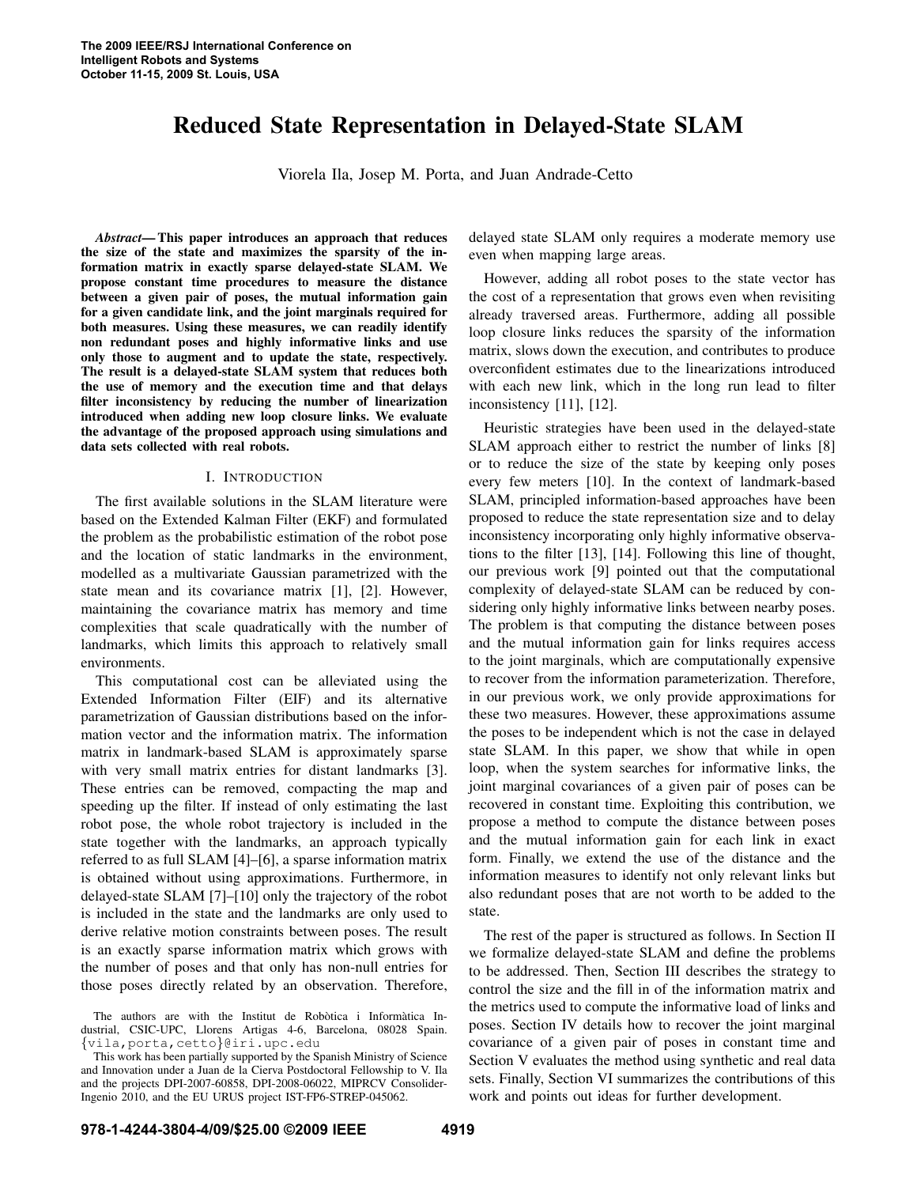# **Reduced State Representation in Delayed-State SLAM**

Viorela Ila, Josep M. Porta, and Juan Andrade-Cetto

*Abstract***— This paper introduces an approach that reduces the size of the state and maximizes the sparsity of the information matrix in exactly sparse delayed-state SLAM. We propose constant time procedures to measure the distance between a given pair of poses, the mutual information gain for a given candidate link, and the joint marginals required for both measures. Using these measures, we can readily identify non redundant poses and highly informative links and use only those to augment and to update the state, respectively. The result is a delayed-state SLAM system that reduces both the use of memory and the execution time and that delays filter inconsistency by reducing the number of linearization introduced when adding new loop closure links. We evaluate the advantage of the proposed approach using simulations and data sets collected with real robots.**

### I. INTRODUCTION

The first available solutions in the SLAM literature were based on the Extended Kalman Filter (EKF) and formulated the problem as the probabilistic estimation of the robot pose and the location of static landmarks in the environment, modelled as a multivariate Gaussian parametrized with the state mean and its covariance matrix [1], [2]. However, maintaining the covariance matrix has memory and time complexities that scale quadratically with the number of landmarks, which limits this approach to relatively small environments.

This computational cost can be alleviated using the Extended Information Filter (EIF) and its alternative parametrization of Gaussian distributions based on the information vector and the information matrix. The information matrix in landmark-based SLAM is approximately sparse with very small matrix entries for distant landmarks [3]. These entries can be removed, compacting the map and speeding up the filter. If instead of only estimating the last robot pose, the whole robot trajectory is included in the state together with the landmarks, an approach typically referred to as full SLAM [4]–[6], a sparse information matrix is obtained without using approximations. Furthermore, in delayed-state SLAM [7]–[10] only the trajectory of the robot is included in the state and the landmarks are only used to derive relative motion constraints between poses. The result is an exactly sparse information matrix which grows with the number of poses and that only has non-null entries for those poses directly related by an observation. Therefore, delayed state SLAM only requires a moderate memory use even when mapping large areas.

However, adding all robot poses to the state vector has the cost of a representation that grows even when revisiting already traversed areas. Furthermore, adding all possible loop closure links reduces the sparsity of the information matrix, slows down the execution, and contributes to produce overconfident estimates due to the linearizations introduced with each new link, which in the long run lead to filter inconsistency [11], [12].

Heuristic strategies have been used in the delayed-state SLAM approach either to restrict the number of links [8] or to reduce the size of the state by keeping only poses every few meters [10]. In the context of landmark-based SLAM, principled information-based approaches have been proposed to reduce the state representation size and to delay inconsistency incorporating only highly informative observations to the filter [13], [14]. Following this line of thought, our previous work [9] pointed out that the computational complexity of delayed-state SLAM can be reduced by considering only highly informative links between nearby poses. The problem is that computing the distance between poses and the mutual information gain for links requires access to the joint marginals, which are computationally expensive to recover from the information parameterization. Therefore, in our previous work, we only provide approximations for these two measures. However, these approximations assume the poses to be independent which is not the case in delayed state SLAM. In this paper, we show that while in open loop, when the system searches for informative links, the joint marginal covariances of a given pair of poses can be recovered in constant time. Exploiting this contribution, we propose a method to compute the distance between poses and the mutual information gain for each link in exact form. Finally, we extend the use of the distance and the information measures to identify not only relevant links but also redundant poses that are not worth to be added to the state.

The rest of the paper is structured as follows. In Section II we formalize delayed-state SLAM and define the problems to be addressed. Then, Section III describes the strategy to control the size and the fill in of the information matrix and the metrics used to compute the informative load of links and poses. Section IV details how to recover the joint marginal covariance of a given pair of poses in constant time and Section V evaluates the method using synthetic and real data sets. Finally, Section VI summarizes the contributions of this work and points out ideas for further development.

The authors are with the Institut de Robòtica i Informàtica Industrial, CSIC-UPC, Llorens Artigas 4-6, Barcelona, 08028 Spain. {vila,porta,cetto}@iri.upc.edu

This work has been partially supported by the Spanish Ministry of Science and Innovation under a Juan de la Cierva Postdoctoral Fellowship to V. Ila and the projects DPI-2007-60858, DPI-2008-06022, MIPRCV Consolider-Ingenio 2010, and the EU URUS project IST-FP6-STREP-045062.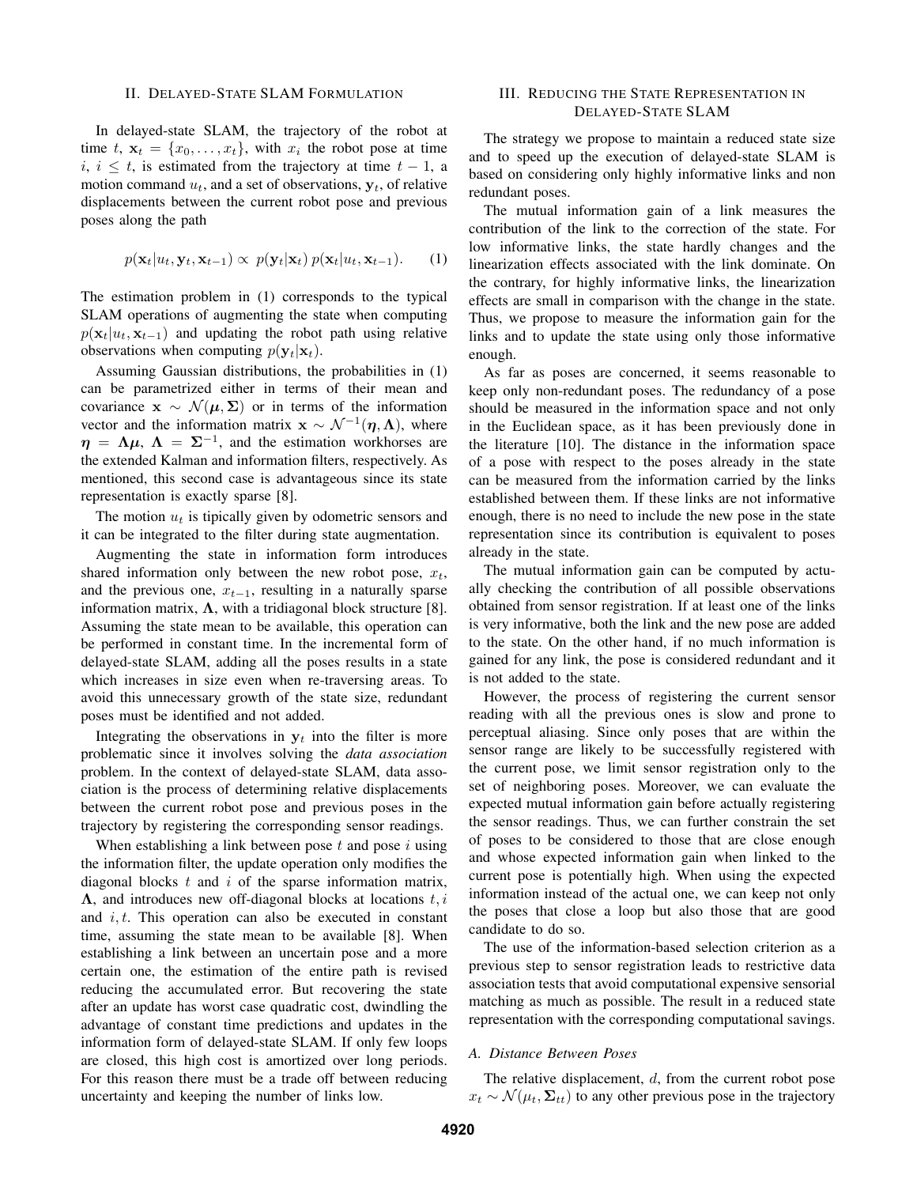### II. DELAYED-STATE SLAM FORMULATION

In delayed-state SLAM, the trajectory of the robot at time t,  $\mathbf{x}_t = \{x_0, \ldots, x_t\}$ , with  $x_i$  the robot pose at time i,  $i \leq t$ , is estimated from the trajectory at time  $t - 1$ , a motion command  $u_t$ , and a set of observations,  $y_t$ , of relative displacements between the current robot pose and previous poses along the path

$$
p(\mathbf{x}_t|u_t, \mathbf{y}_t, \mathbf{x}_{t-1}) \propto p(\mathbf{y}_t|\mathbf{x}_t) p(\mathbf{x}_t|u_t, \mathbf{x}_{t-1}).
$$
 (1)

The estimation problem in (1) corresponds to the typical SLAM operations of augmenting the state when computing  $p(\mathbf{x}_t|u_t, \mathbf{x}_{t-1})$  and updating the robot path using relative observations when computing  $p(\mathbf{y}_t|\mathbf{x}_t)$ .

Assuming Gaussian distributions, the probabilities in (1) can be parametrized either in terms of their mean and covariance  $x \sim \mathcal{N}(\mu, \Sigma)$  or in terms of the information vector and the information matrix  $x \sim \mathcal{N}^{-1}(\eta, \Lambda)$ , where  $\eta = \Lambda \mu$ ,  $\Lambda = \Sigma^{-1}$ , and the estimation workhorses are the extended Kalman and information filters, respectively. As mentioned, this second case is advantageous since its state representation is exactly sparse [8].

The motion  $u_t$  is tipically given by odometric sensors and it can be integrated to the filter during state augmentation.

Augmenting the state in information form introduces shared information only between the new robot pose,  $x_t$ , and the previous one,  $x_{t-1}$ , resulting in a naturally sparse information matrix,  $\Lambda$ , with a tridiagonal block structure [8]. Assuming the state mean to be available, this operation can be performed in constant time. In the incremental form of delayed-state SLAM, adding all the poses results in a state which increases in size even when re-traversing areas. To avoid this unnecessary growth of the state size, redundant poses must be identified and not added.

Integrating the observations in  $y_t$  into the filter is more problematic since it involves solving the *data association* problem. In the context of delayed-state SLAM, data association is the process of determining relative displacements between the current robot pose and previous poses in the trajectory by registering the corresponding sensor readings.

When establishing a link between pose  $t$  and pose  $i$  using the information filter, the update operation only modifies the diagonal blocks  $t$  and  $i$  of the sparse information matrix,  $\Lambda$ , and introduces new off-diagonal blocks at locations  $t, i$ and  $i, t$ . This operation can also be executed in constant time, assuming the state mean to be available [8]. When establishing a link between an uncertain pose and a more certain one, the estimation of the entire path is revised reducing the accumulated error. But recovering the state after an update has worst case quadratic cost, dwindling the advantage of constant time predictions and updates in the information form of delayed-state SLAM. If only few loops are closed, this high cost is amortized over long periods. For this reason there must be a trade off between reducing uncertainty and keeping the number of links low.

## III. REDUCING THE STATE REPRESENTATION IN DELAYED-STATE SLAM

The strategy we propose to maintain a reduced state size and to speed up the execution of delayed-state SLAM is based on considering only highly informative links and non redundant poses.

The mutual information gain of a link measures the contribution of the link to the correction of the state. For low informative links, the state hardly changes and the linearization effects associated with the link dominate. On the contrary, for highly informative links, the linearization effects are small in comparison with the change in the state. Thus, we propose to measure the information gain for the links and to update the state using only those informative enough.

As far as poses are concerned, it seems reasonable to keep only non-redundant poses. The redundancy of a pose should be measured in the information space and not only in the Euclidean space, as it has been previously done in the literature [10]. The distance in the information space of a pose with respect to the poses already in the state can be measured from the information carried by the links established between them. If these links are not informative enough, there is no need to include the new pose in the state representation since its contribution is equivalent to poses already in the state.

The mutual information gain can be computed by actually checking the contribution of all possible observations obtained from sensor registration. If at least one of the links is very informative, both the link and the new pose are added to the state. On the other hand, if no much information is gained for any link, the pose is considered redundant and it is not added to the state.

However, the process of registering the current sensor reading with all the previous ones is slow and prone to perceptual aliasing. Since only poses that are within the sensor range are likely to be successfully registered with the current pose, we limit sensor registration only to the set of neighboring poses. Moreover, we can evaluate the expected mutual information gain before actually registering the sensor readings. Thus, we can further constrain the set of poses to be considered to those that are close enough and whose expected information gain when linked to the current pose is potentially high. When using the expected information instead of the actual one, we can keep not only the poses that close a loop but also those that are good candidate to do so.

The use of the information-based selection criterion as a previous step to sensor registration leads to restrictive data association tests that avoid computational expensive sensorial matching as much as possible. The result in a reduced state representation with the corresponding computational savings.

### *A. Distance Between Poses*

The relative displacement,  $d$ , from the current robot pose  $x_t \sim \mathcal{N}(\mu_t, \Sigma_{tt})$  to any other previous pose in the trajectory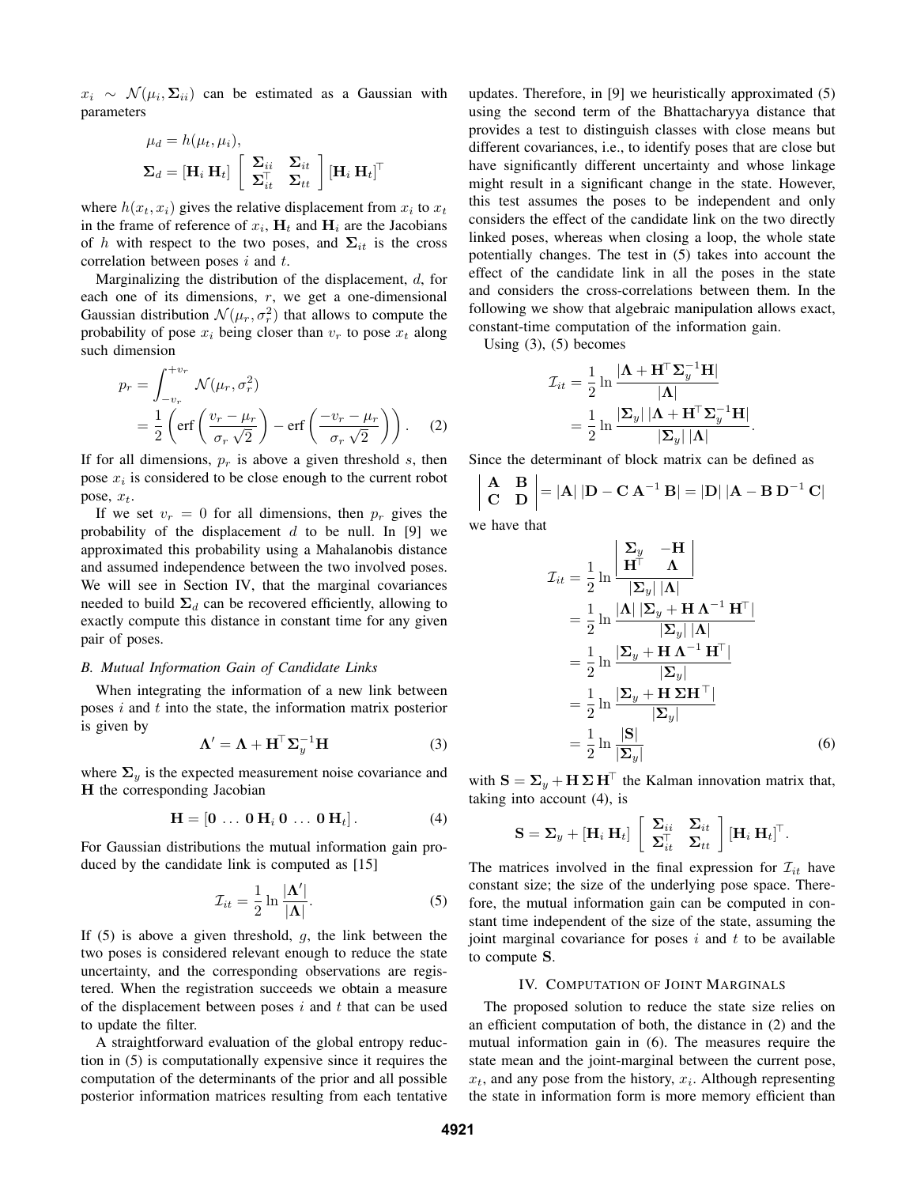$x_i \sim \mathcal{N}(\mu_i, \Sigma_{ii})$  can be estimated as a Gaussian with parameters

$$
\mu_d = h(\mu_t, \mu_i),
$$
  

$$
\Sigma_d = [\mathbf{H}_i \ \mathbf{H}_t] \begin{bmatrix} \Sigma_{ii} & \Sigma_{it} \\ \Sigma_{it}^{\top} & \Sigma_{tt} \end{bmatrix} [\mathbf{H}_i \ \mathbf{H}_t]^{\top}
$$

where  $h(x_t, x_i)$  gives the relative displacement from  $x_i$  to  $x_t$ in the frame of reference of  $x_i$ ,  $H_t$  and  $H_i$  are the Jacobians of h with respect to the two poses, and  $\Sigma_{it}$  is the cross correlation between poses  $i$  and  $t$ .

Marginalizing the distribution of the displacement,  $d$ , for each one of its dimensions,  $r$ , we get a one-dimensional Gaussian distribution  $\mathcal{N}(\mu_r, \sigma_r^2)$  that allows to compute the probability of pose  $x_i$  being closer than  $v_r$  to pose  $x_t$  along such dimension

$$
p_r = \int_{-v_r}^{+v_r} \mathcal{N}(\mu_r, \sigma_r^2)
$$
  
=  $\frac{1}{2} \left( \text{erf} \left( \frac{v_r - \mu_r}{\sigma_r \sqrt{2}} \right) - \text{erf} \left( \frac{-v_r - \mu_r}{\sigma_r \sqrt{2}} \right) \right)$ . (2)

If for all dimensions,  $p_r$  is above a given threshold s, then pose  $x_i$  is considered to be close enough to the current robot pose,  $x_t$ .

If we set  $v_r = 0$  for all dimensions, then  $p_r$  gives the probability of the displacement  $d$  to be null. In [9] we approximated this probability using a Mahalanobis distance and assumed independence between the two involved poses. We will see in Section IV, that the marginal covariances needed to build  $\Sigma_d$  can be recovered efficiently, allowing to exactly compute this distance in constant time for any given pair of poses.

# *B. Mutual Information Gain of Candidate Links*

When integrating the information of a new link between poses  $i$  and  $t$  into the state, the information matrix posterior is given by

$$
\Lambda' = \Lambda + \mathbf{H}^{\top} \Sigma_y^{-1} \mathbf{H}
$$
 (3)

where  $\Sigma_y$  is the expected measurement noise covariance and H the corresponding Jacobian

$$
\mathbf{H} = [\mathbf{0} \dots \mathbf{0} \mathbf{H}_i \mathbf{0} \dots \mathbf{0} \mathbf{H}_t]. \tag{4}
$$

For Gaussian distributions the mutual information gain produced by the candidate link is computed as [15]

$$
\mathcal{I}_{it} = \frac{1}{2} \ln \frac{|\mathbf{\Lambda}'|}{|\mathbf{\Lambda}|}. \tag{5}
$$

If  $(5)$  is above a given threshold, g, the link between the two poses is considered relevant enough to reduce the state uncertainty, and the corresponding observations are registered. When the registration succeeds we obtain a measure of the displacement between poses  $i$  and  $t$  that can be used to update the filter.

A straightforward evaluation of the global entropy reduction in (5) is computationally expensive since it requires the computation of the determinants of the prior and all possible posterior information matrices resulting from each tentative updates. Therefore, in [9] we heuristically approximated (5) using the second term of the Bhattacharyya distance that provides a test to distinguish classes with close means but different covariances, i.e., to identify poses that are close but have significantly different uncertainty and whose linkage might result in a significant change in the state. However, this test assumes the poses to be independent and only considers the effect of the candidate link on the two directly linked poses, whereas when closing a loop, the whole state potentially changes. The test in (5) takes into account the effect of the candidate link in all the poses in the state and considers the cross-correlations between them. In the following we show that algebraic manipulation allows exact, constant-time computation of the information gain.

Using (3), (5) becomes

$$
\mathcal{I}_{it} = \frac{1}{2} \ln \frac{|\mathbf{\Lambda} + \mathbf{H}^{\top} \Sigma_{y}^{-1} \mathbf{H}|}{|\mathbf{\Lambda}|}
$$
  
= 
$$
\frac{1}{2} \ln \frac{|\Sigma_{y}| |\mathbf{\Lambda} + \mathbf{H}^{\top} \Sigma_{y}^{-1} \mathbf{H}|}{|\Sigma_{y}| |\mathbf{\Lambda}|}.
$$

Since the determinant of block matrix can be defined as

$$
\left|\begin{array}{cc} \mathbf{A} & \mathbf{B} \\ \mathbf{C} & \mathbf{D} \end{array}\right| = |\mathbf{A}| |\mathbf{D} - \mathbf{C} \mathbf{A}^{-1} \mathbf{B}| = |\mathbf{D}| |\mathbf{A} - \mathbf{B} \mathbf{D}^{-1} \mathbf{C}|
$$

we have that

$$
\mathcal{I}_{it} = \frac{1}{2} \ln \frac{\left| \frac{\mathbf{\Sigma}_{y}}{\mathbf{H}^{\top}} \Lambda \right|}{\left| \mathbf{\Sigma}_{y} \right| \left| \Lambda \right|}
$$
\n
$$
= \frac{1}{2} \ln \frac{\left| \Lambda \right| \left| \mathbf{\Sigma}_{y} + \mathbf{H} \Lambda^{-1} \mathbf{H}^{\top} \right|}{\left| \mathbf{\Sigma}_{y} \right| \left| \Lambda \right|}
$$
\n
$$
= \frac{1}{2} \ln \frac{\left| \mathbf{\Sigma}_{y} + \mathbf{H} \Lambda^{-1} \mathbf{H}^{\top} \right|}{\left| \mathbf{\Sigma}_{y} \right|}
$$
\n
$$
= \frac{1}{2} \ln \frac{\left| \mathbf{\Sigma}_{y} + \mathbf{H} \Sigma \mathbf{H}^{\top} \right|}{\left| \mathbf{\Sigma}_{y} \right|}
$$
\n
$$
= \frac{1}{2} \ln \frac{\left| \mathbf{S} \right|}{\left| \mathbf{\Sigma}_{y} \right|}
$$
\n(6)

with  $S = \Sigma_{\nu} + H \Sigma H^{\top}$  the Kalman innovation matrix that, taking into account (4), is

$$
\mathbf{S} = \mathbf{\Sigma}_y + [\mathbf{H}_i \ \mathbf{H}_t] \begin{bmatrix} \Sigma_{ii} & \Sigma_{it} \\ \Sigma_{it}^{\top} & \Sigma_{tt} \end{bmatrix} [\mathbf{H}_i \ \mathbf{H}_t]^{\top}.
$$

The matrices involved in the final expression for  $\mathcal{I}_{it}$  have constant size; the size of the underlying pose space. Therefore, the mutual information gain can be computed in constant time independent of the size of the state, assuming the joint marginal covariance for poses  $i$  and  $t$  to be available to compute S.

#### IV. COMPUTATION OF JOINT MARGINALS

The proposed solution to reduce the state size relies on an efficient computation of both, the distance in (2) and the mutual information gain in (6). The measures require the state mean and the joint-marginal between the current pose,  $x_t$ , and any pose from the history,  $x_i$ . Although representing the state in information form is more memory efficient than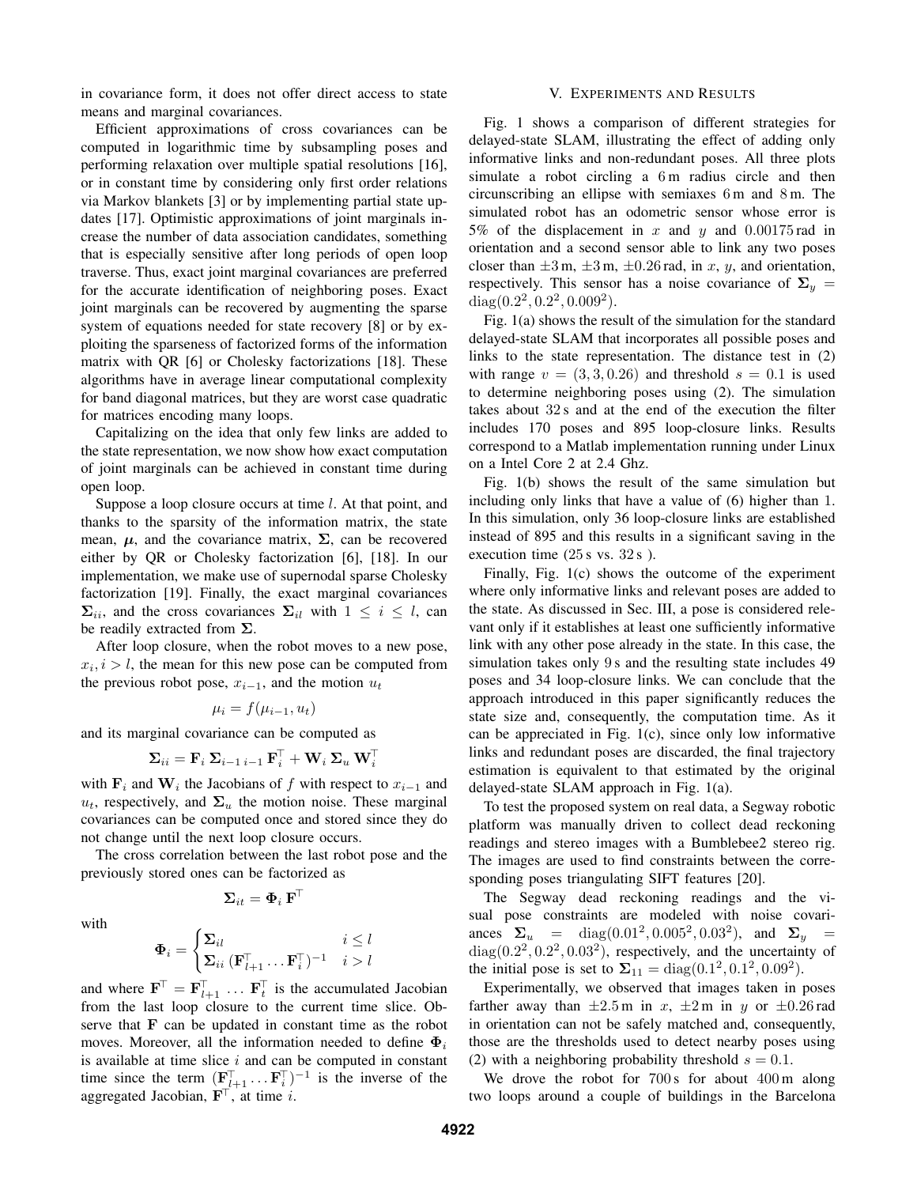in covariance form, it does not offer direct access to state means and marginal covariances.

Efficient approximations of cross covariances can be computed in logarithmic time by subsampling poses and performing relaxation over multiple spatial resolutions [16], or in constant time by considering only first order relations via Markov blankets [3] or by implementing partial state updates [17]. Optimistic approximations of joint marginals increase the number of data association candidates, something that is especially sensitive after long periods of open loop traverse. Thus, exact joint marginal covariances are preferred for the accurate identification of neighboring poses. Exact joint marginals can be recovered by augmenting the sparse system of equations needed for state recovery [8] or by exploiting the sparseness of factorized forms of the information matrix with QR [6] or Cholesky factorizations [18]. These algorithms have in average linear computational complexity for band diagonal matrices, but they are worst case quadratic for matrices encoding many loops.

Capitalizing on the idea that only few links are added to the state representation, we now show how exact computation of joint marginals can be achieved in constant time during open loop.

Suppose a loop closure occurs at time l. At that point, and thanks to the sparsity of the information matrix, the state mean,  $\mu$ , and the covariance matrix,  $\Sigma$ , can be recovered either by QR or Cholesky factorization [6], [18]. In our implementation, we make use of supernodal sparse Cholesky factorization [19]. Finally, the exact marginal covariances  $\Sigma_{ii}$ , and the cross covariances  $\Sigma_{il}$  with  $1 \leq i \leq l$ , can be readily extracted from  $\Sigma$ .

After loop closure, when the robot moves to a new pose,  $x_i, i > l$ , the mean for this new pose can be computed from the previous robot pose,  $x_{i-1}$ , and the motion  $u_t$ 

$$
\mu_i = f(\mu_{i-1}, u_t)
$$

and its marginal covariance can be computed as

$$
\boldsymbol{\Sigma}_{ii} = \mathbf{F}_i \ \boldsymbol{\Sigma}_{i-1 \ i-1} \ \mathbf{F}_i^\top + \mathbf{W}_i \ \boldsymbol{\Sigma}_u \ \mathbf{W}_i^\top
$$

with  $\mathbf{F}_i$  and  $\mathbf{W}_i$  the Jacobians of f with respect to  $x_{i-1}$  and  $u_t$ , respectively, and  $\Sigma_u$  the motion noise. These marginal covariances can be computed once and stored since they do not change until the next loop closure occurs.

The cross correlation between the last robot pose and the previously stored ones can be factorized as

$$
\pmb{\Sigma}_{it} = \pmb{\Phi}_i\;\mathbf{F}^{\!\top}
$$

with

$$
\mathbf{\Phi}_i = \begin{cases} \mathbf{\Sigma}_{il} & i \leq l \\ \mathbf{\Sigma}_{ii} \, (\mathbf{F}_{l+1}^\top \dots \mathbf{F}_i^\top)^{-1} & i > l \end{cases}
$$

and where  $\mathbf{F}^{\top} = \mathbf{F}_{l+1}^{\top} \dots \mathbf{F}_{t}^{\top}$  is the accumulated Jacobian from the last loop closure to the current time slice. Observe that F can be updated in constant time as the robot moves. Moreover, all the information needed to define  $\Phi_i$ is available at time slice  $i$  and can be computed in constant time since the term  $(\mathbf{F}_{l+1}^{\top} \dots \mathbf{F}_{i}^{\top})^{-1}$  is the inverse of the aggregated Jacobian,  $\mathbf{F}^{\top}$ , at time *i*.

### V. EXPERIMENTS AND RESULTS

Fig. 1 shows a comparison of different strategies for delayed-state SLAM, illustrating the effect of adding only informative links and non-redundant poses. All three plots simulate a robot circling a 6m radius circle and then circunscribing an ellipse with semiaxes 6 m and 8 m. The simulated robot has an odometric sensor whose error is 5% of the displacement in  $x$  and  $y$  and 0.00175 rad in orientation and a second sensor able to link any two poses closer than  $\pm 3$  m,  $\pm 3$  m,  $\pm 0.26$  rad, in x, y, and orientation, respectively. This sensor has a noise covariance of  $\Sigma_y$  =  $diag(0.2^2, 0.2^2, 0.009^2).$ 

Fig. 1(a) shows the result of the simulation for the standard delayed-state SLAM that incorporates all possible poses and links to the state representation. The distance test in (2) with range  $v = (3, 3, 0.26)$  and threshold  $s = 0.1$  is used to determine neighboring poses using (2). The simulation takes about 32 s and at the end of the execution the filter includes 170 poses and 895 loop-closure links. Results correspond to a Matlab implementation running under Linux on a Intel Core 2 at 2.4 Ghz.

Fig. 1(b) shows the result of the same simulation but including only links that have a value of (6) higher than 1. In this simulation, only 36 loop-closure links are established instead of 895 and this results in a significant saving in the execution time (25 s vs. 32 s ).

Finally, Fig. 1(c) shows the outcome of the experiment where only informative links and relevant poses are added to the state. As discussed in Sec. III, a pose is considered relevant only if it establishes at least one sufficiently informative link with any other pose already in the state. In this case, the simulation takes only 9s and the resulting state includes 49 poses and 34 loop-closure links. We can conclude that the approach introduced in this paper significantly reduces the state size and, consequently, the computation time. As it can be appreciated in Fig. 1(c), since only low informative links and redundant poses are discarded, the final trajectory estimation is equivalent to that estimated by the original delayed-state SLAM approach in Fig. 1(a).

To test the proposed system on real data, a Segway robotic platform was manually driven to collect dead reckoning readings and stereo images with a Bumblebee2 stereo rig. The images are used to find constraints between the corresponding poses triangulating SIFT features [20].

The Segway dead reckoning readings and the visual pose constraints are modeled with noise covariances  $\Sigma_u = \text{diag}(0.01^2, 0.005^2, 0.03^2)$ , and  $\Sigma_u$  $diag(0.2^2, 0.2^2, 0.03^2)$ , respectively, and the uncertainty of the initial pose is set to  $\Sigma_{11} = \text{diag}(0.1^2, 0.1^2, 0.09^2)$ .

Experimentally, we observed that images taken in poses farther away than  $\pm 2.5$  m in x,  $\pm 2$  m in y or  $\pm 0.26$  rad in orientation can not be safely matched and, consequently, those are the thresholds used to detect nearby poses using (2) with a neighboring probability threshold  $s = 0.1$ .

We drove the robot for 700 s for about 400 m along two loops around a couple of buildings in the Barcelona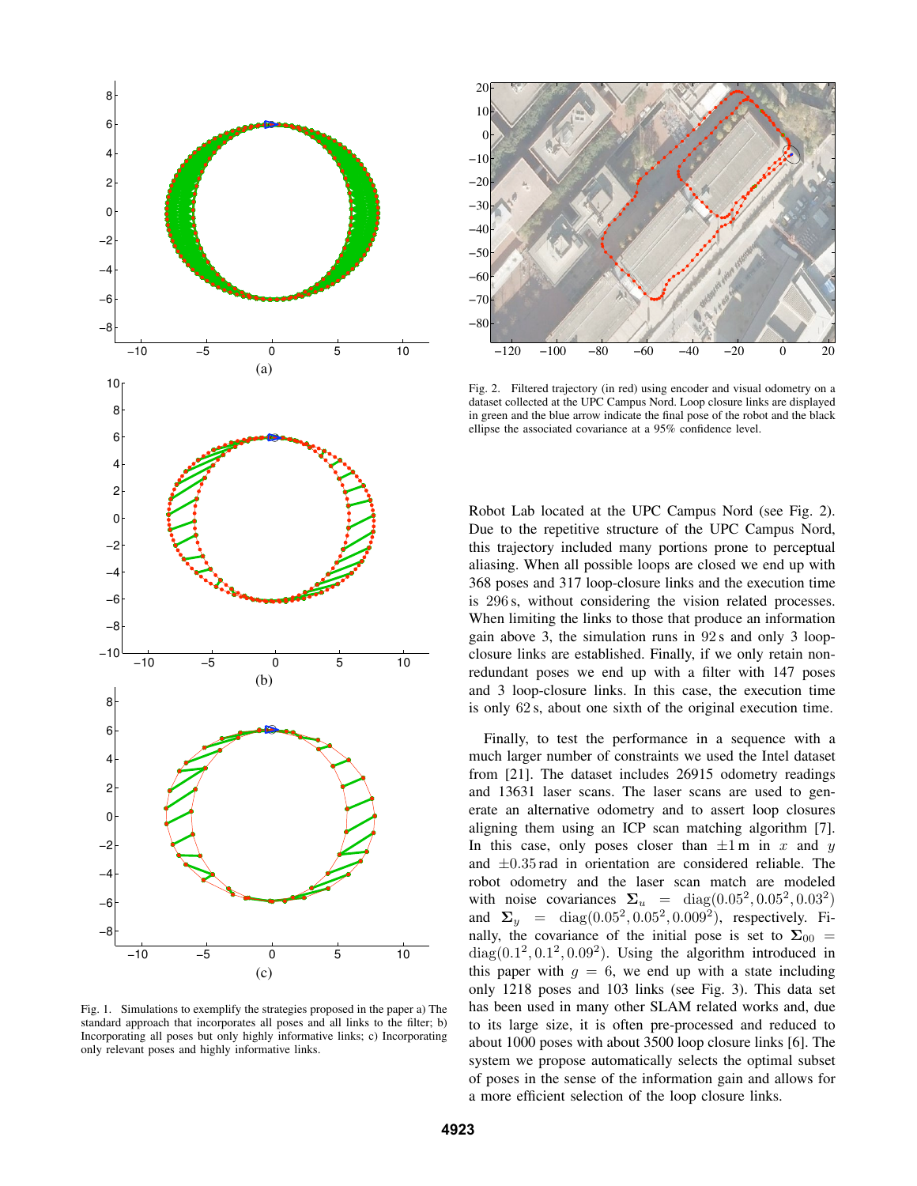

Fig. 1. Simulations to exemplify the strategies proposed in the paper a) The standard approach that incorporates all poses and all links to the filter; b) Incorporating all poses but only highly informative links; c) Incorporating only relevant poses and highly informative links.



Fig. 2. Filtered trajectory (in red) using encoder and visual odometry on a dataset collected at the UPC Campus Nord. Loop closure links are displayed in green and the blue arrow indicate the final pose of the robot and the black ellipse the associated covariance at a 95% confidence level.

Robot Lab located at the UPC Campus Nord (see Fig. 2). Due to the repetitive structure of the UPC Campus Nord, this trajectory included many portions prone to perceptual aliasing. When all possible loops are closed we end up with 368 poses and 317 loop-closure links and the execution time is 296 s, without considering the vision related processes. When limiting the links to those that produce an information gain above 3, the simulation runs in 92 s and only 3 loopclosure links are established. Finally, if we only retain nonredundant poses we end up with a filter with 147 poses and 3 loop-closure links. In this case, the execution time is only 62 s, about one sixth of the original execution time.

Finally, to test the performance in a sequence with a much larger number of constraints we used the Intel dataset from [21]. The dataset includes 26915 odometry readings and 13631 laser scans. The laser scans are used to generate an alternative odometry and to assert loop closures aligning them using an ICP scan matching algorithm [7]. In this case, only poses closer than  $\pm 1$  m in x and y and ±0.35 rad in orientation are considered reliable. The robot odometry and the laser scan match are modeled with noise covariances  $\Sigma_u$  = diag(0.05<sup>2</sup>, 0.05<sup>2</sup>, 0.03<sup>2</sup>) and  $\Sigma_y$  = diag(0.05<sup>2</sup>, 0.05<sup>2</sup>, 0.009<sup>2</sup>), respectively. Finally, the covariance of the initial pose is set to  $\Sigma_{00}$  =  $diag(0.1^2, 0.1^2, 0.09^2)$ . Using the algorithm introduced in this paper with  $g = 6$ , we end up with a state including only 1218 poses and 103 links (see Fig. 3). This data set has been used in many other SLAM related works and, due to its large size, it is often pre-processed and reduced to about 1000 poses with about 3500 loop closure links [6]. The system we propose automatically selects the optimal subset of poses in the sense of the information gain and allows for a more efficient selection of the loop closure links.